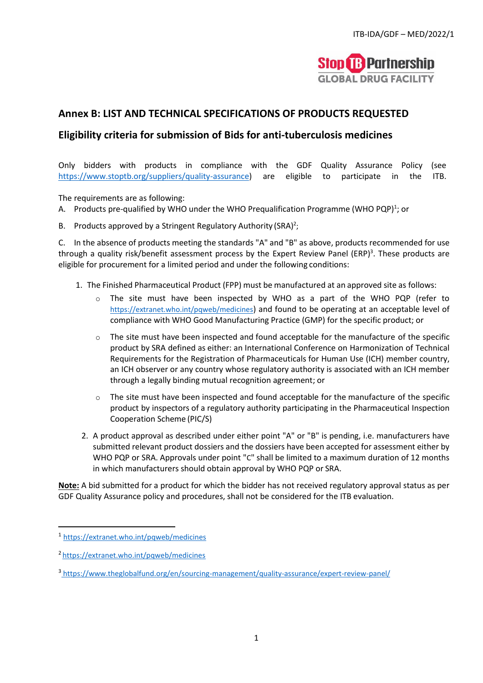

### **Annex B: LIST AND TECHNICAL SPECIFICATIONS OF PRODUCTS REQUESTED**

#### **Eligibility criteria for submission of Bids for anti-tuberculosis medicines**

Only bidders with products in compliance with the GDF Quality Assurance Policy (see [https://www.stoptb.org/suppliers/quality-assurance\)](https://www.stoptb.org/suppliers/quality-assurance) are eligible to participate in the ITB.

The requirements are as following:

- A. Products pre-qualified by WHO under the WHO Prequalification Programme (WHO PQP)<sup>1</sup>; or
- B. Products approved by a Stringent Regulatory Authority (SRA)<sup>2</sup>;

C. In the absence of products meeting the standards "A" and "B" as above, products recommended for use through a quality risk/benefit assessment process by the Expert Review Panel (ERP)<sup>3</sup>. These products are eligible for procurement for a limited period and under the following conditions:

- 1. The Finished Pharmaceutical Product (FPP) must be manufactured at an approved site as follows:
	- o The site must have been inspected by WHO as a part of the WHO PQP (refer to https://extranet.who.int/pqweb/medicines) and found to be operating at an acceptable level of compliance with WHO Good Manufacturing Practice (GMP) for the specific product; or
	- $\circ$  The site must have been inspected and found acceptable for the manufacture of the specific product by SRA defined as either: an International Conference on Harmonization of Technical Requirements for the Registration of Pharmaceuticals for Human Use (ICH) member country, an ICH observer or any country whose regulatory authority is associated with an ICH member through a legally binding mutual recognition agreement; or
	- $\circ$  The site must have been inspected and found acceptable for the manufacture of the specific product by inspectors of a regulatory authority participating in the Pharmaceutical Inspection Cooperation Scheme (PIC/S)
	- 2. A product approval as described under either point "A" or "B" is pending, i.e. manufacturers have submitted relevant product dossiers and the dossiers have been accepted for assessment either by WHO PQP or SRA. Approvals under point "C" shall be limited to a maximum duration of 12 months in which manufacturers should obtain approval by WHO PQP or SRA.

**Note:** A bid submitted for a product for which the bidder has not received regulatory approval status as per GDF Quality Assurance policy and procedures, shall not be considered for the ITB evaluation.

<sup>1</sup> https://extranet.who.int/pqweb/medicines

<sup>2</sup> https://extranet.who.int/pqweb/medicines

<sup>&</sup>lt;sup>3</sup>https://www.theglobalfund.org/en/sourcing-management/quality-assurance/expert-review-panel/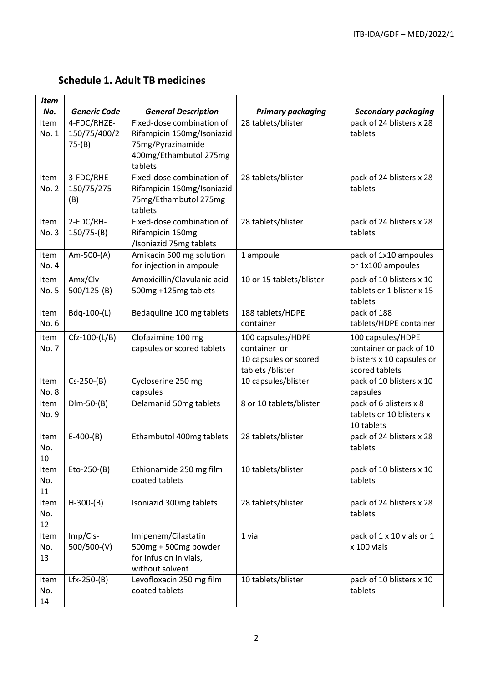# **Schedule 1. Adult TB medicines**

| <b>Item</b>       |                                         |                                                                                                                   |                                                                                |                                                                                             |
|-------------------|-----------------------------------------|-------------------------------------------------------------------------------------------------------------------|--------------------------------------------------------------------------------|---------------------------------------------------------------------------------------------|
| No.               | <b>Generic Code</b>                     | <b>General Description</b>                                                                                        | <b>Primary packaging</b>                                                       | <b>Secondary packaging</b>                                                                  |
| Item<br>No. 1     | 4-FDC/RHZE-<br>150/75/400/2<br>$75-(B)$ | Fixed-dose combination of<br>Rifampicin 150mg/Isoniazid<br>75mg/Pyrazinamide<br>400mg/Ethambutol 275mg<br>tablets | 28 tablets/blister                                                             | pack of 24 blisters x 28<br>tablets                                                         |
| Item<br>No. 2     | 3-FDC/RHE-<br>150/75/275-<br>(B)        | Fixed-dose combination of<br>Rifampicin 150mg/Isoniazid<br>75mg/Ethambutol 275mg<br>tablets                       | 28 tablets/blister                                                             | pack of 24 blisters x 28<br>tablets                                                         |
| Item<br>No. 3     | 2-FDC/RH-<br>$150/75-(B)$               | Fixed-dose combination of<br>Rifampicin 150mg<br>/Isoniazid 75mg tablets                                          | 28 tablets/blister                                                             | pack of 24 blisters x 28<br>tablets                                                         |
| Item<br>No. 4     | Am-500-(A)                              | Amikacin 500 mg solution<br>for injection in ampoule                                                              | 1 ampoule                                                                      | pack of 1x10 ampoules<br>or 1x100 ampoules                                                  |
| Item<br>No. 5     | Amx/Clv-<br>$500/125-(B)$               | Amoxicillin/Clavulanic acid<br>500mg +125mg tablets                                                               | 10 or 15 tablets/blister                                                       | pack of 10 blisters x 10<br>tablets or 1 blister x 15<br>tablets                            |
| Item<br>No. 6     | Bdq-100-(L)                             | Bedaquline 100 mg tablets                                                                                         | 188 tablets/HDPE<br>container                                                  | pack of 188<br>tablets/HDPE container                                                       |
| Item<br>No. 7     | Cfz-100-(L/B)                           | Clofazimine 100 mg<br>capsules or scored tablets                                                                  | 100 capsules/HDPE<br>container or<br>10 capsules or scored<br>tablets /blister | 100 capsules/HDPE<br>container or pack of 10<br>blisters x 10 capsules or<br>scored tablets |
| Item<br>No. 8     | $Cs - 250-(B)$                          | Cycloserine 250 mg<br>capsules                                                                                    | 10 capsules/blister                                                            | pack of 10 blisters x 10<br>capsules                                                        |
| Item<br>No. 9     | $Dim-50-(B)$                            | Delamanid 50mg tablets                                                                                            | 8 or 10 tablets/blister                                                        | pack of 6 blisters x 8<br>tablets or 10 blisters x<br>10 tablets                            |
| Item<br>No.<br>10 | $E-400-(B)$                             | Ethambutol 400mg tablets                                                                                          | 28 tablets/blister                                                             | pack of 24 blisters x 28<br>tablets                                                         |
| Item<br>No.<br>11 | Eto-250-(B)                             | Ethionamide 250 mg film<br>coated tablets                                                                         | 10 tablets/blister                                                             | pack of 10 blisters x 10<br>tablets                                                         |
| Item<br>No.<br>12 | $H-300-(B)$                             | Isoniazid 300mg tablets                                                                                           | 28 tablets/blister                                                             | pack of 24 blisters x 28<br>tablets                                                         |
| Item<br>No.<br>13 | Imp/Cls-<br>500/500-(V)                 | Imipenem/Cilastatin<br>500mg + 500mg powder<br>for infusion in vials,<br>without solvent                          | 1 vial                                                                         | pack of 1 x 10 vials or 1<br>x 100 vials                                                    |
| Item<br>No.<br>14 | $Lfx-250-(B)$                           | Levofloxacin 250 mg film<br>coated tablets                                                                        | 10 tablets/blister                                                             | pack of 10 blisters x 10<br>tablets                                                         |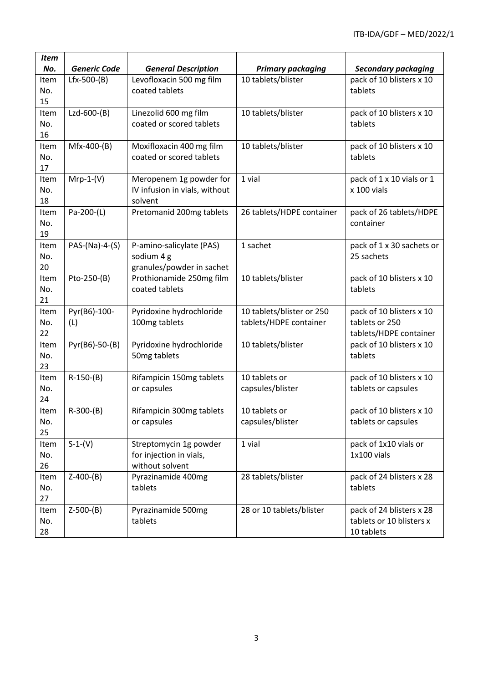| <b>Item</b> |                     |                               |                           |                                     |
|-------------|---------------------|-------------------------------|---------------------------|-------------------------------------|
| No.         | <b>Generic Code</b> | <b>General Description</b>    | <b>Primary packaging</b>  | <b>Secondary packaging</b>          |
| Item        | Lfx-500-(B)         | Levofloxacin 500 mg film      | 10 tablets/blister        | pack of 10 blisters x 10            |
| No.         |                     | coated tablets                |                           | tablets                             |
| 15          |                     |                               |                           |                                     |
| Item        | Lzd-600-(B)         | Linezolid 600 mg film         | 10 tablets/blister        | pack of 10 blisters x 10            |
| No.         |                     | coated or scored tablets      |                           | tablets                             |
| 16          |                     |                               |                           |                                     |
| Item        | Mfx-400-(B)         | Moxifloxacin 400 mg film      | 10 tablets/blister        | pack of 10 blisters x 10            |
| No.         |                     | coated or scored tablets      |                           | tablets                             |
| 17          |                     |                               |                           |                                     |
| Item        | $Mrp-1-(V)$         | Meropenem 1g powder for       | 1 vial                    | pack of 1 x 10 vials or 1           |
| No.         |                     | IV infusion in vials, without |                           | x 100 vials                         |
| 18          |                     | solvent                       |                           |                                     |
| Item        | Pa-200-(L)          | Pretomanid 200mg tablets      | 26 tablets/HDPE container | pack of 26 tablets/HDPE             |
| No.         |                     |                               |                           | container                           |
| 19          |                     |                               |                           |                                     |
| Item        | PAS-(Na)-4-(S)      | P-amino-salicylate (PAS)      | 1 sachet                  | pack of 1 x 30 sachets or           |
| No.         |                     | sodium 4 g                    |                           | 25 sachets                          |
| 20          |                     | granules/powder in sachet     |                           |                                     |
| Item        | Pto-250-(B)         | Prothionamide 250mg film      | 10 tablets/blister        | pack of 10 blisters x 10            |
| No.         |                     | coated tablets                |                           | tablets                             |
| 21          |                     |                               |                           |                                     |
| Item        | Pyr(B6)-100-        | Pyridoxine hydrochloride      | 10 tablets/blister or 250 | pack of 10 blisters x 10            |
| No.         | (L)                 | 100mg tablets                 | tablets/HDPE container    | tablets or 250                      |
| 22          |                     |                               |                           | tablets/HDPE container              |
| Item<br>No. | Pyr(B6)-50-(B)      | Pyridoxine hydrochloride      | 10 tablets/blister        | pack of 10 blisters x 10<br>tablets |
| 23          |                     | 50mg tablets                  |                           |                                     |
| Item        | $R-150-(B)$         | Rifampicin 150mg tablets      | 10 tablets or             | pack of 10 blisters x 10            |
| No.         |                     | or capsules                   | capsules/blister          | tablets or capsules                 |
| 24          |                     |                               |                           |                                     |
| Item        | $R-300-(B)$         | Rifampicin 300mg tablets      | 10 tablets or             | pack of 10 blisters x 10            |
| No.         |                     | or capsules                   | capsules/blister          | tablets or capsules                 |
| 25          |                     |                               |                           |                                     |
| Item        | $S-1-(V)$           | Streptomycin 1g powder        | 1 vial                    | pack of 1x10 vials or               |
| No.         |                     | for injection in vials,       |                           | 1x100 vials                         |
| 26          |                     | without solvent               |                           |                                     |
| Item        | $Z-400-(B)$         | Pyrazinamide 400mg            | 28 tablets/blister        | pack of 24 blisters x 28            |
| No.         |                     | tablets                       |                           | tablets                             |
| 27          |                     |                               |                           |                                     |
| Item        | $Z-500-(B)$         | Pyrazinamide 500mg            | 28 or 10 tablets/blister  | pack of 24 blisters x 28            |
| No.         |                     | tablets                       |                           | tablets or 10 blisters x            |
| 28          |                     |                               |                           | 10 tablets                          |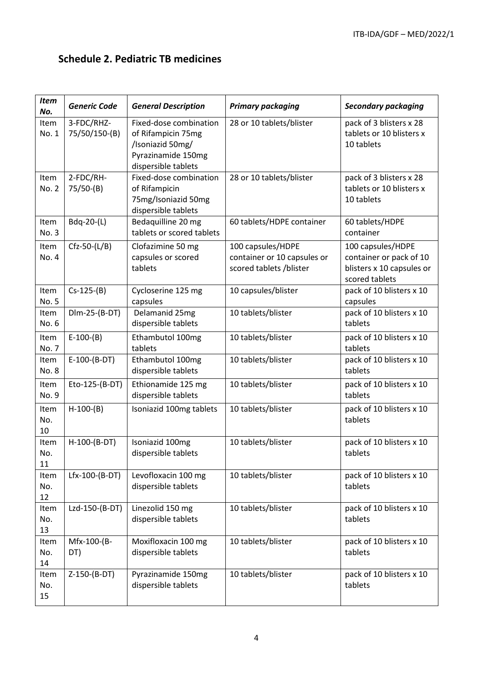## **Schedule 2. Pediatric TB medicines**

| <b>Item</b><br>No. | <b>Generic Code</b>         | <b>General Description</b>                                                                                    | <b>Primary packaging</b>                                                    | <b>Secondary packaging</b>                                                                  |
|--------------------|-----------------------------|---------------------------------------------------------------------------------------------------------------|-----------------------------------------------------------------------------|---------------------------------------------------------------------------------------------|
| Item<br>No. 1      | 3-FDC/RHZ-<br>75/50/150-(B) | Fixed-dose combination<br>of Rifampicin 75mg<br>/Isoniazid 50mg/<br>Pyrazinamide 150mg<br>dispersible tablets | 28 or 10 tablets/blister                                                    | pack of 3 blisters x 28<br>tablets or 10 blisters x<br>10 tablets                           |
| Item<br>No. 2      | 2-FDC/RH-<br>$75/50-(B)$    | Fixed-dose combination<br>of Rifampicin<br>75mg/Isoniazid 50mg<br>dispersible tablets                         | 28 or 10 tablets/blister                                                    | pack of 3 blisters x 28<br>tablets or 10 blisters x<br>10 tablets                           |
| Item<br>No. 3      | Bdq-20-(L)                  | Bedaquilline 20 mg<br>tablets or scored tablets                                                               | 60 tablets/HDPE container                                                   | 60 tablets/HDPE<br>container                                                                |
| Item<br>No. 4      | $Cfz-50-(L/B)$              | Clofazimine 50 mg<br>capsules or scored<br>tablets                                                            | 100 capsules/HDPE<br>container or 10 capsules or<br>scored tablets /blister | 100 capsules/HDPE<br>container or pack of 10<br>blisters x 10 capsules or<br>scored tablets |
| Item<br>No. 5      | $Cs - 125-(B)$              | Cycloserine 125 mg<br>capsules                                                                                | 10 capsules/blister                                                         | pack of 10 blisters x 10<br>capsules                                                        |
| Item<br>No. 6      | Dlm-25-(B-DT)               | Delamanid 25mg<br>dispersible tablets                                                                         | 10 tablets/blister                                                          | pack of 10 blisters x 10<br>tablets                                                         |
| Item<br>No. 7      | $E-100-(B)$                 | Ethambutol 100mg<br>tablets                                                                                   | 10 tablets/blister                                                          | pack of 10 blisters x 10<br>tablets                                                         |
| Item<br>No. 8      | $E-100-(B-DT)$              | Ethambutol 100mg<br>dispersible tablets                                                                       | 10 tablets/blister                                                          | pack of 10 blisters x 10<br>tablets                                                         |
| Item<br>No. 9      | Eto-125-(B-DT)              | Ethionamide 125 mg<br>dispersible tablets                                                                     | 10 tablets/blister                                                          | pack of 10 blisters x 10<br>tablets                                                         |
| Item<br>No.<br>10  | $H-100-(B)$                 | Isoniazid 100mg tablets                                                                                       | 10 tablets/blister                                                          | pack of 10 blisters x 10<br>tablets                                                         |
| Item<br>No.<br>11  | H-100-(B-DT)                | Isoniazid 100mg<br>dispersible tablets                                                                        | 10 tablets/blister                                                          | pack of 10 blisters x 10<br>tablets                                                         |
| Item<br>No.<br>12  | Lfx-100-(B-DT)              | Levofloxacin 100 mg<br>dispersible tablets                                                                    | 10 tablets/blister                                                          | pack of 10 blisters x 10<br>tablets                                                         |
| Item<br>No.<br>13  | Lzd-150-(B-DT)              | Linezolid 150 mg<br>dispersible tablets                                                                       | 10 tablets/blister                                                          | pack of 10 blisters x 10<br>tablets                                                         |
| Item<br>No.<br>14  | Mfx-100-(B-<br>DT)          | Moxifloxacin 100 mg<br>dispersible tablets                                                                    | 10 tablets/blister                                                          | pack of 10 blisters x 10<br>tablets                                                         |
| Item<br>No.<br>15  | Z-150-(B-DT)                | Pyrazinamide 150mg<br>dispersible tablets                                                                     | 10 tablets/blister                                                          | pack of 10 blisters x 10<br>tablets                                                         |